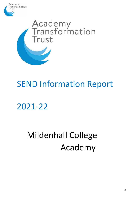



# SEND Information Report

## 2021-22

# Mildenhall College Academy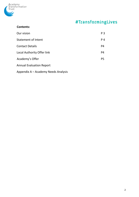

## #TransformingLives

#### **Contents:**

| Our vision                        | P <sub>3</sub> |
|-----------------------------------|----------------|
| <b>Statement of Intent</b>        | P 4            |
| <b>Contact Details</b>            | P <sub>4</sub> |
| <b>Local Authority Offer link</b> | P <sub>4</sub> |
| Academy's Offer                   | P <sub>5</sub> |
| <b>Annual Evaluation Report</b>   |                |

Appendix A – Academy Needs Analysis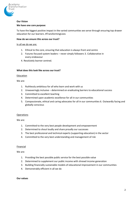

#### **Our Vision**

#### **We have one core purpose:**

To have the biggest positive impact in the varied communities we serve through ensuring top drawer education for our learners. #TransformingLives

#### **How do we ensure this across our trust?**

#### In all we do we are:

- 1. Ethical to the core, ensuring that education is always front and centre
- 2. Futures focused system leaders never simply followers 3. Collaborative in every endeavour
- 4. Resolutely learner centred.

#### **What does this look like across our trust?**

#### **Education**

We are:

- 1. Ruthlessly ambitious for all who learn and work with us
- 2. Unwaveringly inclusive determined on eradicating barriers to educational success
- 3. Committed to excellent teaching
- 4. Determined upon academic excellence for all in our communities
- 5. Compassionate, ethical and caring advocates for all in our communities 6. Outwardly facing and globally conscious

#### **Operations**

We are:

- 1. Committed to the very best people development and empowerment
- 2. Determined to shout loudly and share proudly our successes
- 3. The best professional and technical experts (supporting education) in the sector
- 4. Committed to the very best understanding and management of risk

#### Financial

We are:

- 1. Providing the best possible public service for the best possible value
- 2. Determined to supplement our public income with shrewd income generation
- 3. Building financially sustainable models of educational improvement in our communities
- 4. Demonstrably efficient in all we do

#### **Our values**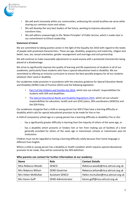

- We will work inclusively within our communities, embracing the varied localities we serve while sharing our common vision and values.
- We will develop the very best leaders of the future, working to improve education and transform lives.
- We will adhere unwaveringly to the 'Nolan Principles' of Public Service, which is made clear in our commitment to Ethical Leadership.

#### **Statement of intent**

We are committed to taking positive action in the light of the Equality Act 2010 with regard to the needs of people with protected characteristics. These are age, disability, pregnancy and maternity, religion and belief, race, sex, sexual orientation, gender reassignment and marriage and civil partnership.

We will continue to make reasonable adjustments to avoid anyone with a protected characteristic being placed at a disadvantage.

We strive to significantly improve the quality of learning and life experiences of students in all of our academies, particularly those students who have a special educational need or disability. We are committed to offering an inclusive curriculum to ensure the best possible progress for all our students whatever their need or disability.

Our academies make provision in accordance with the statutory guidance for Special Education Needs and Disability (SEND) Code of Practice (2015) and the following legislation:

- Part 3 of the Children and Families Act 2014, which sets out schools' responsibilities for students with SEN and disabilities
- The Special Educational Needs and Disability Regulations 2014, which set out schools' responsibilities for education, health and care (EHC) plans, SEN coordinators (SENCOs) and the SEN Policy

Our academies recognise that a child or young person has SEN if they have a learning difficulty or disability which calls for special educational provision to be made for him or her.

A child of compulsory school age or a young person has a learning difficulty or disability if he or she:

- has a significantly greater difficulty in learning than the majority of others of the same age, or
- has a disability which prevents or hinders him or her from making use of facilities of a kind generally provided for others of the same age in mainstream schools or mainstream post-16 institutions

Children must not be regarded as having a learning difficulty solely because their home language is different from English.

Where a child or young person has a disability or health condition which requires special educational provision to be made, they will be covered by the SEN definition.

| <b>Name</b>        | <b>Role</b>               | <b>Contact Details</b>            |
|--------------------|---------------------------|-----------------------------------|
| Miss Rebecca Woods | <b>SENCO</b>              | Rebecca.woods@mca.attrust.org.uk  |
| Mrs Rebecca Wilson | <b>SEND Governor</b>      | Rebecca.wilson@mca.attrust.org.uk |
| Mrs Helen McMullan | <b>Assistant SENCO</b>    | Helen.mcmullan@mca.attrust.org.uk |
| Mrs Karen Goff     | <b>SEND Administrator</b> | Karen.goff@mca.attrust.org.uk     |

**Who parents can contact for further information at our academy:**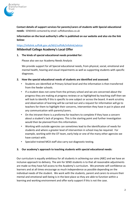

**Contact details of support services for parents/carers of students with Special educational needs:** SENDIASS contacted by email: suffolksendiass.co.uk

**Information on the local authority's offer is published on our website and also via the link below:** 

#### <https://infolink.suffolk.gov.uk/kb5/suffolk/infolink/advice> **Mildenhall College Academy's Local Offer**

**1. The kinds of special educational needs provided for:** 

Please also see our Academy Needs Analysis

We provide support for all Special educational needs, from physical, social, emotional and mental health, hearing and visual impairments as well as supporting students with specific diagnoses.

- **2. How the special educational needs of students are identified and assessed:** 
	- Students are identified at Primary School level and the information is then transferred from the feeder schools.
	- If a student does not come from the primary school and we are concerned about the progress they are making at progress reviews or as highlighted by teaching staff then we will look to identify if this is specific to one subject or across the board. A work scrutiny and observation of learning will be carried out and a request for information will go to teachers for them to highlight their concerns, intervention they have in put in place and any communication with parents/carers.
	- On the intranet there is a proforma for teachers to complete if they have a concern about a student's lack of progress. This is the starting point and further investigation would then be planned from this information.
	- Working with outside agencies can sometimes lead to the identification of needs for students and where a greater level of intervention in school may be required. For example, working with the OT team, early help or one of the many other agencies we have contact with.
	- Specialist trained MCA staff also carry out diagnostic testing.

#### **3. Our academy's approach to teaching students with special educational needs:**

Our curriculum is equally ambitious for all students in achieving our aims (ABC) and we have an inclusive approach to delivery. The aim for SEND students is to that all reasonable adjustments are made so they have full access to the Academy's curriculum. We promote self-confidence as learners and at all times encourage as much independence as possible depending on the individual needs of the student. We work with the students, parent and carers to ensure their mental and emotional well-being is in the best place so they are able to function within a learning and working environment and offer early support if this is not the case.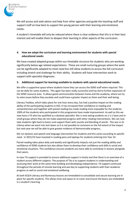

We will access and seek advice and help from other agencies and guide the teaching staff and support staff on how best to support the young person with their learning and emotional needs**.** 

A student's timetable will only be reduced where there is clear evidence that this is in their best interest and will enable them to deepen their learning in other aspects of the curriculum.

#### **4. How we adapt the curriculum and learning environment for students with special educational needs:**

We have created adapted groups within our timetable structure for students who are working significantly below age related expectations. These are small nurturing groups where the work can be significantly adapted to meet need but still allow students to access the full curriculum including stretch and challenge for their ability. Students will have intervention work to support with specialist diagnoses.

#### **5. Additional support for learning available to students with special educational needs:**

We offer a supportive space where students know they can access the SEND staff when required. This can be daily for some students. This again has been really successful and has led to further expansion of the SEND resource area. It allows good communication between home and the academy, where we try to solve issues before they escalate and could have a greater impact on them and their well-being.

Literacy Toolbox, which takes place for one hour every day, has had a positive impact on the reading ability of the participating students in KS3. It has increased their confidence in reading and comprehension and together with paired reading has made reading more enjoyable for the students. 100% of the students who participated in this programme have made improvement. As well as this we now have a TA who has qualified as a dyslexia specialist. She is now seeing students on a 1:1 basis and in small groups where they do not make expected progress with other reading interventions. We can now take students right back to basics and support them with sounds and blending of words. This was in its infancy when we went into lock down so it is not possible to comment on the full extent of the impact but next year we will be able to give greater evidence of demonstrable progress..

We run dyslexic and speech and language intervention for students and this varies according to specific need. In 2021/22 have invested in reading pens and laptops for students entering into Year 10.

Paired reading takes place daily and weekly and significantly impacts not just the reading ability and confidence of SEND students but also allows them to develop their confidence and skills in social and emotional situations. This confidence ensures students are more able to contribute in lessons alongside their peers.

In-class TA support is provided to ensure additional support is timely and that there is an overview of a student across different subjects. The purpose of TAs is to support students in understanding and accessing their work at the same time building and developing independence. TA support continued throughout the periods of remote learning and was key to supporting students with their academic progress as well as social and emotional wellbeing.

At both KS3/4 Literacy and Numeracy lessons are timetabled to consolidate and secure learning are in place for specific students. This allows time and space to re-cover and ensure the basics are embedded in a student's learning.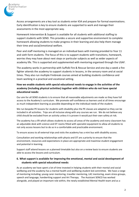

Access arrangements are a key tool as students enter KS4 and prepare for formal examinations. Early identification is key to ensure students are supported to work and manage their assessments in the most appropriate way.

Homework Intervention & Support is available for all students with additional staffing to support students with SEND. This provides a secure and supportive environment to complete homework allowing students to make progress in their learning and also help them manage their time and social/emotional welfare.

Peer and staff mentoring is managed on an individual basis with training provided to Year 11 and sixth form students. The focus of this is to support students with transitions, homework, worries they may have about next steps or particular subjects as well as wider aspects of academy life. This is supported and supplemented with mentoring organised through the USAF.

The academy works in partnership with Suffolk Fire & Rescue Service and one day a week a fire fighter attends the academy to support students in lessons, in the sensory room and at social times. They also run multiple Firebreak courses aimed at building students confidence and team working in a practical and vocational setting.

#### **How we enable students with special educational needs to engage in the activities of the academy (including physical activities) together with children who do not have special educational needs:**

Our aim for all SEND students is to ensure that all reasonable adjustments are made so they have full access to the Academy's curriculum. We promote self-confidence as learners and at all times encourage as much independent learning as possible depending on the individual needs of the student.

We run bespoke PE lessons for students with disability plus the PE classes are adapted so they can be included in all activities. Trips are all inclusive along with any courses we run. We do not believe any child should be excluded from an activity unless it is proven it would put their own safety at risk.

The academy has a lift which allows students to access all areas of the academy and every classroom has an adjustable desk with science and DT rooms fitted with specialist equipment to allow all students to not only access lessons but to do so in a comfortable and practicable environment.

To ensure access to all external trips and visits the academy has a mini bus with disability access.

Consultation and working relationships with physio and OT are a priority to ensure that the environment, resources and expectations in place are appropriate and maximise student engagement and potential in learning.

Support staff attend lessons on a planned timetable but also on a review basis to ensure students are able to access the lessons and curriculum.

#### **6. What support is available for improving the emotional, mental and social development of students with special educational needs:**

As an academy we have spent a lot of time invested in helping students with their mental and social wellbeing and the academy has a mental health and wellbeing student led committee. We have a range of mentoring including; young carer mentoring, traveller mentoring, LAC mentoring, exam stress groups, speech and language, handwriting support and Art Therapy. The Assistant SENCO has worked alongside, and played an important role within, the newly established Mental Health team and as a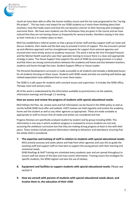

result we have been able to offer the human toolbox course and this has now progressed to the "my big life project". This has had a real impact for our SEND students as it starts them thinking about their emotions, how their body reacts and how this can become a barrier to their learning with strategies to overcome them. We have seen students use the techniques they are given in the course and we have noticed that they are not leaving classes as frequently for sensory breaks, therefore staying in the class as their mind set is in a better place to learn.

MCA has established a referral system so that a group of senior staff and key support staff can meet and discuss students, their needs and the best way to proceed in terms of support. This has ensured a joined up and effective approach and has strengthened requests for support from external agencies and ensured even more timely access to academy resources. This work is led by the Vice Princip[al Pastoral and the Mental Health Lead who uses their specialist training to ensure there is a clear and appropriate strategy in place. The House Support Hub supports the work of SEND by ensuring provision is in place and that there are strong communications between the academy and home and also between teachers, students and home through the tutor, Student Support Officer or House Leader.

The Personal Development curriculum is made accessible to all students and includes a dedicated lesson for all students focusing on these issues. Students with SEND needs and who are working well below age related expectation have additional time to cover these topics.

The SEND is a safe space for students with constant access and supervision. It includes the SEND office, Therapy room and sensory room.

All of the work is underpinned by the information available to parent/carers via the website, information evenings and through 1:1 working.

#### **How we assess and review the progress of students with special educational needs:**

MCA follows the Plan, do, review cycle and full information can be found in the SEND policy as well as via the Suffolk SEND local offer and website. EHCP reviews are held regularly and involve the academy, home and the student as well as any other agencies as appropriate. These are made available as appropriate to staff to ensure that all needs and wishes are considered and met.

Progress Reviews are specifically analysed student by student and by group including SEND. This information is one way in which academic progress is reviewed to ensure students are not only accessing the ambitious curriculum but that they are making strong progress at least in line with their peers. These reviews include pastoral Information relating to behaviour and attendance ensuring that the whole child is considered.

**7. The expertise and training of staff in relation to students with special educational needs:** 

MCA actively accesses and seeks advice and help from other agencies and uses this to guide the teaching staff and support staff on how best to support the young person with their learning and emotional needs.

SEND Briefings & Staff Training are scheduled every academic year and are spread throughout to ensure staff are aware of the best and most recent information. Training covers the strategies for specific students, the SEND register and also the use of edukey.

- **8. Equipment and facilities to support students with special educational needs:** Please see section 5
- **9. How we consult with parents of students with special educational needs about, and involve them in, the education of their child:**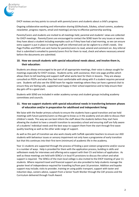

EHCP reviews are key points to consult with parents/carers and students about a child's progress.

Ongoing collaborative working and information sharing (GO4schools, Edukey, school comms, academy newsletter, progress reports, email and meetings) are key to effective partnership working.

Parents/Carers and students are invited to all meetings held, parental and students' views are collected for EHCP meetings. Parents/Carers are encouraged to contact the SEND team for any issues or worries they have about a student including examples such as if they have had a bad morning, so we can ensure extra support is put in place or teaching staff are informed and can be vigilant to a child's needs. One Page Profiles and PEEPs are sent home for parents/carers to read, amend and comment on. Any referral that is submitted is emailed to parents/carers first for them to read, check and where necessary amend before the documents are submitted.

#### **10. How we consult students with special educational needs about, and involve them in, their education:**

Students are always encouraged to be part of all appropriate meetings, their voice is always sought for meetings especially for EHCP reviews. Students write, with assistance, their one page profiles which allows them to tell teaching and support staff what works best for them in lessons. They are always consulted on PEEPs and what they feel most comfortable with along with if a student requires personal care. Students will also see the SEND team for regular meetings where they can have a general chat to ensure they are feeling safe, supported and happy in their school experience and to help ensure their day gets off to a good start.

Students with SEND are Included in wider academy surveys and student groups including academy committees and councils.

#### **11. How we support students with special educational needs in transferring between phases of education and/or in preparation for adulthood and independent living:**

We liaise with the feeder primary schools to ensure the students have a good transition and we hold meetings with future parents/carers so they get to know us in the academy and are able to discuss their children's needs. This way we can best inform the staff about the students before they start here allowing the student to have a smooth transition to secondary school and ensuring staff are fully aware of a students' individual needs and the best ways to support them from the start through first wave quality teaching as well as the other wide range of support.

As well as this part of transition we also work closely with Suffolk specialist teachers to ensure our ASD students with behaviour issues or sensory impairment not only have a programme of early transition but that this continues into their first term (minimum) of academic life in the academy.

Year 11 students are supported through the process of finding a post sixteen programme and/or course in a number of ways. Help is provided for them with the application process, building in skills and selfesteem ready for interviews and offering extra support with their CV and letters of application. As well as these meetings are held with SENCo's in local FE provisions to discuss the cohort and what support is required. The SENCo of the main local college is also invited to the EHCP meeting of year 11 students. Where required travel and financial support are also provided to help students manage the greater level of independence required for travelling to/from post 16 provision. Addition and bspoke support may include; visits to provider, training on using public transport, support with taster and induction days, careers advice, support from a Senior Youth Worker through the CAF process and the Curriculum delivered through Youth Award.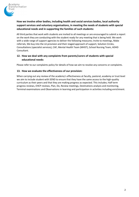

#### **How we involve other bodies, including health and social services bodies, local authority support services and voluntary organisations, in meeting the needs of students with special educational needs and in supporting the families of such students:**

All third parties that work with students are invited to all meetings or are encouraged to submit a report on the work they are conducting with the student ready for any meeting that is being held. We work with a wide range of support agencies to deliver the following measures; Invite to meetings, Make referrals, We buy into the LA provision and their staged approach of support, Solution Circles, Consultations (specialist services), CAF, Mental Health Team (MHST), School Nursing Team, ADHD Consultant.

#### **12. How we deal with any complaints from parents/carers of students with special educational needs:**

Please refer to our complaints policy for details of how we aim to resolve any concerns or complaints.

#### **13. How we evaluate the effectiveness of our provision:**

When carrying out any review of the academy's effectiveness at faculty, pastoral, academy or trust level we aim to include student with SEND to ensure that they have the same access to the high-quality curriculum as their peers and that they are making progress as expected. This includes; Half term progress reviews, EHCP reviews, Plan, Do, Review meetings, Destinations analysis and monitoring, Terminal examinations and Observations in learning and participation in activities including enrichment.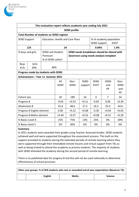

| This evaluation report reflects academic year ending July 2021 |                                                  |                                     |             |                                    |             |                         |                                            |             |
|----------------------------------------------------------------|--------------------------------------------------|-------------------------------------|-------------|------------------------------------|-------------|-------------------------|--------------------------------------------|-------------|
|                                                                | <b>SEND profile</b>                              |                                     |             |                                    |             |                         |                                            |             |
|                                                                | <b>Total Number of students on SEND register</b> |                                     |             |                                    |             |                         |                                            |             |
| Education, Health and Care Plans<br><b>SEND Support</b>        |                                                  |                                     |             |                                    |             | % of academy population |                                            |             |
|                                                                |                                                  |                                     |             | <b>EHCP</b><br><b>SEND support</b> |             |                         |                                            |             |
|                                                                | 133                                              |                                     | 24          | 9.04%<br>1.9%                      |             |                         |                                            |             |
|                                                                | % boys and girls                                 | <b>SEND and Student</b>             |             |                                    |             |                         | SEND needs breakdown should be shared with |             |
|                                                                |                                                  | Premium                             |             |                                    |             |                         | Governors using needs analysis template    |             |
|                                                                |                                                  | % of SEND cohort                    |             |                                    |             |                         |                                            |             |
| <b>Boys</b>                                                    | Girls                                            |                                     |             |                                    |             |                         |                                            |             |
| 61%                                                            | 39%                                              | 48%                                 |             |                                    |             |                         |                                            |             |
|                                                                |                                                  | Progress made by students with SEND |             |                                    |             |                         |                                            |             |
|                                                                |                                                  | Achievement - Year 11 Summer 2021   |             |                                    |             |                         |                                            |             |
|                                                                |                                                  |                                     | All         | Non-                               | <b>SEND</b> | <b>SEND</b>             | <b>SEND</b>                                | Non-        |
|                                                                |                                                  |                                     | <b>SEND</b> | <b>SEND</b>                        | support     | <b>EHCP</b>             | and                                        | <b>SEND</b> |
|                                                                |                                                  |                                     |             |                                    |             |                         | PP                                         | and         |
|                                                                |                                                  |                                     |             |                                    |             |                         |                                            | <b>PP</b>   |
| Cohort size                                                    |                                                  |                                     | 20          | 189                                | 16          | 4                       | 7                                          | 54          |
| Progress 8                                                     |                                                  | $-0.05$                             | $+0.53$     | $+0.11$                            | $-0.69$     | 0.00                    | $+0.30$                                    |             |
| <b>Attainment 8</b>                                            |                                                  | 25.6                                | 48.6        | 27.2                               | 19.3        | 25.0                    | 44.6                                       |             |
| Progress 8 English element                                     |                                                  | 0.00                                | $+0.22$     | $+0.08$                            | $-0.30$     | $+0.04$                 | $+0.03$                                    |             |
| Progress 8 Maths element                                       |                                                  |                                     | $+0.44$     | $+0.57$                            | $+0.53$     | $+0.08$                 | $+0.51$                                    | $+0.29$     |
| % Basics Level 4                                               |                                                  |                                     | 15%         | 75%                                | 13%         | 25%                     | 0%                                         | 69%         |
| % Basics level 5<br>5%<br>40%<br>6%<br>0%<br>0%                |                                                  |                                     |             |                                    | 0%          |                         |                                            |             |

#### **Summary**

In 2021 students were awarded their grades using Teacher Assessed Grades. SEND students achieved well and were supported throughout the assessment process. This built on the support provided to students during the extended periods of remote learning where they were supported through their timetabled remote lessons and virtual support from TAs as well as being invited to attend the academy as priority students. The majority of students with SEND attended the academy during the second period of remote learning.

There is no published data for progress 8 and this will not be used nationally to determine effectiveness of school provision.

| Other year groups- % of SEN students who met or exceeded end of year expectations (Based on TA) |         |              |                |  |  |  |
|-------------------------------------------------------------------------------------------------|---------|--------------|----------------|--|--|--|
|                                                                                                 | English | <b>Maths</b> | <b>Science</b> |  |  |  |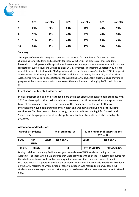

| Yr | <b>SEN</b> | non-SEN | <b>SEN</b> | non-SEN | <b>SEN</b> | non-SEN |
|----|------------|---------|------------|---------|------------|---------|
|    | 69%        | 86%     | 23%        | 51%     | 40%        | 59%     |
| 8  | 52%        | 77%     | 48%        | 68%     | 48%        | 78%     |
| 9  | 31%        | 75%     | 44%        | 50%     | 25%        | 49%     |
| 10 | 28%        | 45%     | 44%        | 43%     | 50%        | 78%     |

#### **Summary**

The impact of remote learning and managing the return to full time face to face learning was challenging for all students and especially for those with SEND. The progress of these students is below that of their peers and is a priority for intervention and support at academy level which is then replicated at subject level and with specialist SEND intervention. The training undertaken by a range of staff in areas directly linked to SEND provision will be put in place from September 2021 to support SEND students in all year groups. This will eb in addition to the quality first teaching ad IT provision. Academy training will prioritise strategies for supporting SEND students in class to ensure they make progress at the rate appropriate for them across the ambitious and challenging MCA curriculum for all.

#### **Effectiveness of targeted interventions**

In-class support and quality first teaching are the most effective means to help students with SEND achieve against the curriculum intent. However specific interventions are appropriate to meet certain needs and over the course of this academic year the most effective interventions have been around mental health and wellbeing and building or re-building confidence. This has been achieved through draw and talk and My Big Life. Dyslexic and Speech and Language interventions bespoke to individual students have also been highly effective.

| <b>Attendance and Exclusions</b>                                                                                                                                                                                                                                                                    |  |  |  |  |  |  |
|-----------------------------------------------------------------------------------------------------------------------------------------------------------------------------------------------------------------------------------------------------------------------------------------------------|--|--|--|--|--|--|
| % and number of SEND students<br><b>FTE or PEx</b>                                                                                                                                                                                                                                                  |  |  |  |  |  |  |
| <b>Non-SEND</b>                                                                                                                                                                                                                                                                                     |  |  |  |  |  |  |
| FTE 11 /0.91%<br>FTE 42/3.47%                                                                                                                                                                                                                                                                       |  |  |  |  |  |  |
| During Lockdown in January 2021 we had good attendance of EHCP students coming into the<br>Academy. For those who did we ensured they were provided with all of the IT equipment required for<br>them to be able to access the opline learning in the same way that their peers were in addition to |  |  |  |  |  |  |
| <b>SEND</b>                                                                                                                                                                                                                                                                                         |  |  |  |  |  |  |

ss the online learning in the same way that their peers were. In addition to this there was staff support for those in the academy. Welfare calls were made weekly to all students on the SEND register and where action or follow up support was required action was taken. All students were encouraged to attend at least part of each week where there was reluctance to attend daily.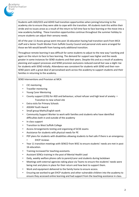

Students with ASD/OCD and ADHD had transition opportunities when joining/returning to the academy site to ensure they were able to cope with the transition. All students took this within their stride and no issues arose as a result of the return to full time face to face learning or the move into a new academy building. These transition opportunities continue throughout the summer holiday to ensure students can adjust their sensory needs.

All of the year 11 Access group went into post 16 education having had transition work from MCA staff and a Senior Youth Worker from Suffolk County Council and personal visits were arranged for those we felt would benefit from having early additional transition.

Throughout remote learning it was difficult for some students to adjust to the new way f working and again on the return to face to face learning. The demand for support was higher and the needs greater in some instances for SEND students and their peers. Despite this and as a result of academy planning and support processes and SEND provision exclusions reduced overall but saw a slight rise for students with SEND initially. Attendance was consistent for students with SEND and their non-SEND peers with a great deal of personalised work across the academy to support students and their families in returning to the academy.

SEND Interventions and Provision at MCA

- CIC mentoring
- Traveller mentoring
- Young Carer Mentoring
- County support (CISS) for ASD and behaviour, school refuser and high level of anxiety Transition to new school site
- **Extra visits for Primary Schools**
- ASDAN Youth Award
- Small group Maths/English work
- Community Support Worker to work with families and students who have identified difficulties both in and outside of the academy
- In class support
- Transition to West Suffolk College
- Access Arrangements testing and organising of GCSE exams
- Assistance for students with physical needs for PE
- PEP plans for students with disabilities allowing students to feel safe if there is an emergency
	- EHCP reviews
- Year 11 transition meetings with SENCO from WSC to ensure students' needs are met in post 16 education.
- Training increased for teaching assistants.
- Assistant SENCo training in the post of Mental Health Lead
- Daily, weekly welfare phone calls to parent/carer and students during lockdown
- Meetings with external agencies taking place via Teams to ensure the students' needs were being met and plans in place for their return and how best to support them.
- Work and equipment delivered to the family home to ensure access.
- Ensuring we worked to get EHCP students and other vulnerable children into the academy to ensure they accessed online learning and had support from the teaching assistance in class.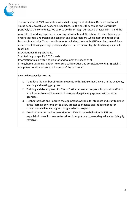The curriculum at MCA is ambitious and challenging for all students. Our aims are for all young people to Achieve academic excellence, Be the best they can be and Contribute positively to the community. We seek to do this through our MCA character TRAITS and the

principles of working together; supporting individuals and Work hard; Be kind. Training to ensure teachers understand and can plan and deliver lessons which meet the needs of all learners is a priority. To ensure all students including those with SEND can be successful we ensure the following are high quality and prioritised to deliver highly effective quality first teaching:

MCA Routines & Expectations.

Staff training on specific SEND needs.

Information to allow staff to plan for and to meet the needs of all.

Strong home-academy relations to ensure collaborative and consistent working. Specialist equipment to allow access to all aspects of the curriculum.

#### **SEND Objectives for 2021-22**

- 1. To reduce the number of FTE for students with SEND so that they are in the academy, learning and making progress.
- 2. Training and development for TAs to further enhance the specialist provision MCA is able to offer to meet the needs of learners alongside engagement with external agencies.
- 3. Further increase and improve the equipment available for students and staff to utilise in the learning environment to allow greater confidence and independence for students as well as leading to strong academic progress.
- 4. Develop provision and intervention for SEMH linked to behaviour in KS3 and especially in Year 7 to ensure transition from primary to secondary education is highly effective.